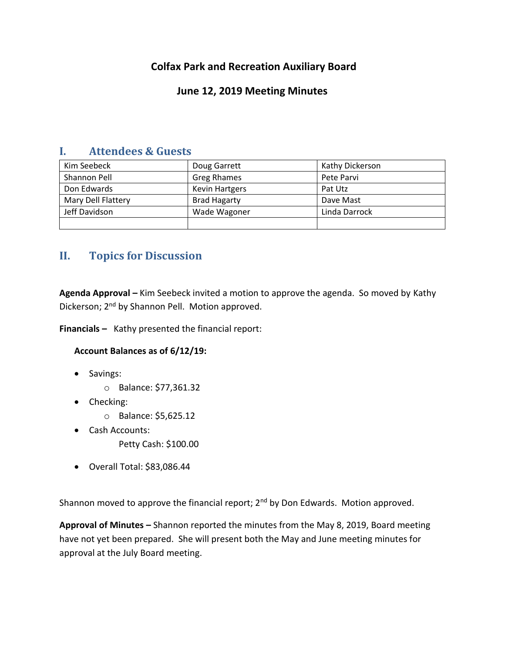# **Colfax Park and Recreation Auxiliary Board**

## **June 12, 2019 Meeting Minutes**

### **I. Attendees & Guests**

| Kim Seebeck        | Doug Garrett          | Kathy Dickerson |
|--------------------|-----------------------|-----------------|
| Shannon Pell       | <b>Greg Rhames</b>    | Pete Parvi      |
| Don Edwards        | <b>Kevin Hartgers</b> | Pat Utz         |
| Mary Dell Flattery | <b>Brad Hagarty</b>   | Dave Mast       |
| Jeff Davidson      | Wade Wagoner          | Linda Darrock   |
|                    |                       |                 |

# **II. Topics for Discussion**

**Agenda Approval –** Kim Seebeck invited a motion to approve the agenda. So moved by Kathy Dickerson; 2<sup>nd</sup> by Shannon Pell. Motion approved.

**Financials –** Kathy presented the financial report:

### **Account Balances as of 6/12/19:**

- Savings:
	- o Balance: \$77,361.32
- Checking:
	- o Balance: \$5,625.12
- Cash Accounts:
	- Petty Cash: \$100.00
- Overall Total: \$83,086.44

Shannon moved to approve the financial report;  $2^{nd}$  by Don Edwards. Motion approved.

**Approval of Minutes –** Shannon reported the minutes from the May 8, 2019, Board meeting have not yet been prepared. She will present both the May and June meeting minutes for approval at the July Board meeting.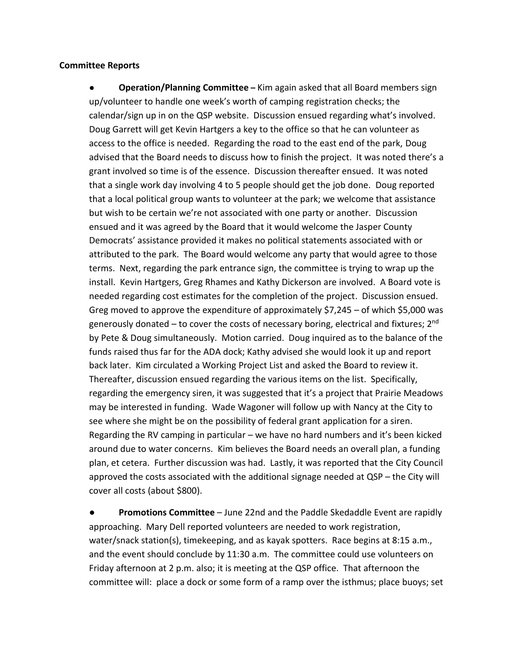#### **Committee Reports**

● **Operation/Planning Committee –** Kim again asked that all Board members sign up/volunteer to handle one week's worth of camping registration checks; the calendar/sign up in on the QSP website. Discussion ensued regarding what's involved. Doug Garrett will get Kevin Hartgers a key to the office so that he can volunteer as access to the office is needed. Regarding the road to the east end of the park, Doug advised that the Board needs to discuss how to finish the project. It was noted there's a grant involved so time is of the essence. Discussion thereafter ensued. It was noted that a single work day involving 4 to 5 people should get the job done. Doug reported that a local political group wants to volunteer at the park; we welcome that assistance but wish to be certain we're not associated with one party or another. Discussion ensued and it was agreed by the Board that it would welcome the Jasper County Democrats' assistance provided it makes no political statements associated with or attributed to the park. The Board would welcome any party that would agree to those terms. Next, regarding the park entrance sign, the committee is trying to wrap up the install. Kevin Hartgers, Greg Rhames and Kathy Dickerson are involved. A Board vote is needed regarding cost estimates for the completion of the project. Discussion ensued. Greg moved to approve the expenditure of approximately  $$7,245 - of$  which  $$5,000$  was generously donated  $-$  to cover the costs of necessary boring, electrical and fixtures; 2<sup>nd</sup> by Pete & Doug simultaneously. Motion carried. Doug inquired as to the balance of the funds raised thus far for the ADA dock; Kathy advised she would look it up and report back later. Kim circulated a Working Project List and asked the Board to review it. Thereafter, discussion ensued regarding the various items on the list. Specifically, regarding the emergency siren, it was suggested that it's a project that Prairie Meadows may be interested in funding. Wade Wagoner will follow up with Nancy at the City to see where she might be on the possibility of federal grant application for a siren. Regarding the RV camping in particular – we have no hard numbers and it's been kicked around due to water concerns. Kim believes the Board needs an overall plan, a funding plan, et cetera. Further discussion was had. Lastly, it was reported that the City Council approved the costs associated with the additional signage needed at QSP – the City will cover all costs (about \$800).

**Promotions Committee** – June 22nd and the Paddle Skedaddle Event are rapidly approaching. Mary Dell reported volunteers are needed to work registration, water/snack station(s), timekeeping, and as kayak spotters. Race begins at 8:15 a.m., and the event should conclude by 11:30 a.m. The committee could use volunteers on Friday afternoon at 2 p.m. also; it is meeting at the QSP office. That afternoon the committee will: place a dock or some form of a ramp over the isthmus; place buoys; set